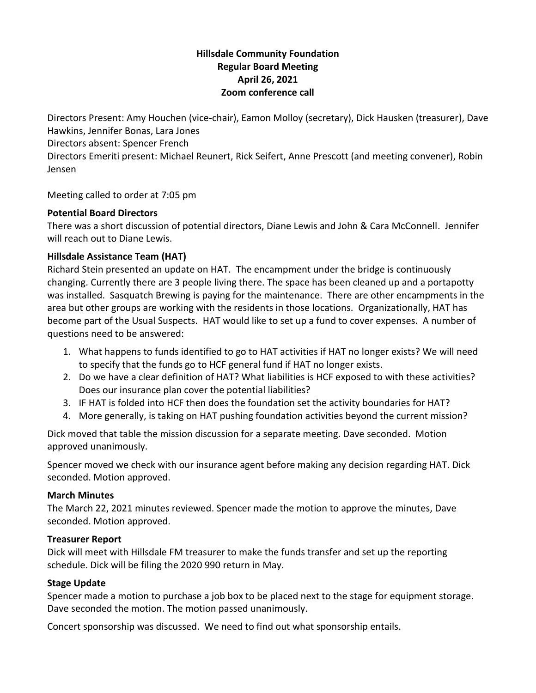### **Hillsdale Community Foundation Regular Board Meeting April 26, 2021 Zoom conference call**

Directors Present: Amy Houchen (vice-chair), Eamon Molloy (secretary), Dick Hausken (treasurer), Dave Hawkins, Jennifer Bonas, Lara Jones

Directors absent: Spencer French

Directors Emeriti present: Michael Reunert, Rick Seifert, Anne Prescott (and meeting convener), Robin Jensen

Meeting called to order at 7:05 pm

## **Potential Board Directors**

There was a short discussion of potential directors, Diane Lewis and John & Cara McConnell. Jennifer will reach out to Diane Lewis.

# **Hillsdale Assistance Team (HAT)**

Richard Stein presented an update on HAT. The encampment under the bridge is continuously changing. Currently there are 3 people living there. The space has been cleaned up and a portapotty was installed. Sasquatch Brewing is paying for the maintenance. There are other encampments in the area but other groups are working with the residents in those locations. Organizationally, HAT has become part of the Usual Suspects. HAT would like to set up a fund to cover expenses. A number of questions need to be answered:

- 1. What happens to funds identified to go to HAT activities if HAT no longer exists? We will need to specify that the funds go to HCF general fund if HAT no longer exists.
- 2. Do we have a clear definition of HAT? What liabilities is HCF exposed to with these activities? Does our insurance plan cover the potential liabilities?
- 3. IF HAT is folded into HCF then does the foundation set the activity boundaries for HAT?
- 4. More generally, is taking on HAT pushing foundation activities beyond the current mission?

Dick moved that table the mission discussion for a separate meeting. Dave seconded. Motion approved unanimously.

Spencer moved we check with our insurance agent before making any decision regarding HAT. Dick seconded. Motion approved.

### **March Minutes**

The March 22, 2021 minutes reviewed. Spencer made the motion to approve the minutes, Dave seconded. Motion approved.

### **Treasurer Report**

Dick will meet with Hillsdale FM treasurer to make the funds transfer and set up the reporting schedule. Dick will be filing the 2020 990 return in May.

### **Stage Update**

Spencer made a motion to purchase a job box to be placed next to the stage for equipment storage. Dave seconded the motion. The motion passed unanimously.

Concert sponsorship was discussed. We need to find out what sponsorship entails.